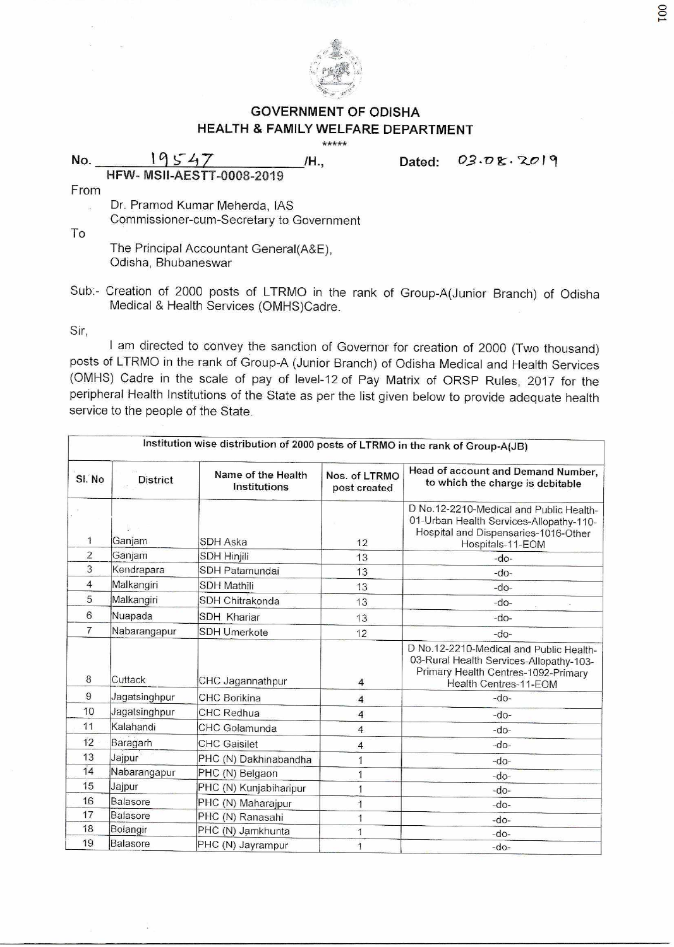

## **GOVERNMENT OF ODISHA HEALTH & FAMILY WELFARE DEPARTMENT**

\*\*\*\*\*

**No.** 19547 **/H., Dated: 03.08.** 

From

Dr. Pramod Kumar Meherda, IAS Commissioner-cum-Secretary to Government

**HFW- MSII-AESTT-0008-2019** 

To

The Principal Accountant General(A&E), Odisha, Bhubaneswar

Sub:- Creation of 2000 posts of LTRMO in the rank of Group-A(Junior Branch) of Odisha Medical & Health Services (OMHS)Cadre.

Sir,

I am directed to convey the sanction of Governor for creation of 2000 (Two thousand) posts of LTRMO in the rank of Group-A (Junior Branch) of Odisha Medical and Health Services (OMHS) Cadre in the scale of pay of level-12 of Pay Matrix of ORSP Rules, 2017 for the peripheral Health Institutions of the State as per the list given below to provide adequate health service to the people of the State.

| Institution wise distribution of 2000 posts of LTRMO in the rank of Group-A(JB) |                 |                                    |                               |                                                                                                                                                    |  |  |
|---------------------------------------------------------------------------------|-----------------|------------------------------------|-------------------------------|----------------------------------------------------------------------------------------------------------------------------------------------------|--|--|
| SI. No                                                                          | <b>District</b> | Name of the Health<br>Institutions | Nos. of LTRMO<br>post created | Head of account and Demand Number,<br>to which the charge is debitable                                                                             |  |  |
| 1                                                                               | Ganjam          | <b>SDH Aska</b>                    | 12                            | D No.12-2210-Medical and Public Health-<br>01-Urban Health Services-Allopathy-110-<br>Hospital and Dispensaries-1016-Other<br>Hospitals-11-EOM     |  |  |
| $\overline{2}$                                                                  | Ganjam          | <b>SDH Hinjili</b>                 | 13                            | $-do-$                                                                                                                                             |  |  |
| 3                                                                               | Kendrapara      | SDH Patamundai                     | 13                            | $-do-$                                                                                                                                             |  |  |
| $\overline{4}$                                                                  | Malkangiri      | <b>SDH Mathili</b>                 | 13                            | $-do-$                                                                                                                                             |  |  |
| 5                                                                               | Malkangiri      | SDH Chitrakonda                    | 13                            | $-do-$                                                                                                                                             |  |  |
| 6                                                                               | Nuapada         | <b>SDH Khariar</b>                 | 13                            | $-do-$                                                                                                                                             |  |  |
| 7                                                                               | Nabarangapur    | SDH Umerkote                       | 12                            | $-do-$                                                                                                                                             |  |  |
| 8                                                                               | Cuttack         | CHC Jagannathpur                   | 4                             | D No.12-2210-Medical and Public Health-<br>03-Rural Health Services-Allopathy-103-<br>Primary Health Centres-1092-Primary<br>Health Centres-11-FOM |  |  |
| 9                                                                               | Jagatsinghpur   | <b>CHC Borikina</b>                | $\overline{\mathbf{4}}$       | $-do-$                                                                                                                                             |  |  |
| 10                                                                              | Jagatsinghpur   | CHC Redhua                         | $\overline{4}$                | $-do-$                                                                                                                                             |  |  |
| 11                                                                              | Kalahandi       | CHC Golamunda                      | $\overline{4}$                | $-do-$                                                                                                                                             |  |  |
| 12                                                                              | Baragarh        | <b>CHC</b> Gaisilet                | $\overline{\mathbf{4}}$       | $-do-$                                                                                                                                             |  |  |
| 13                                                                              | Jajpur          | PHC (N) Dakhinabandha              | 1                             | $-do-$                                                                                                                                             |  |  |
| 14                                                                              | Nabarangapur    | PHC (N) Belgaon                    |                               | $-do-$                                                                                                                                             |  |  |
| 15                                                                              | Jajpur          | PHC (N) Kunjabiharipur             |                               | $-do-$                                                                                                                                             |  |  |
| 16                                                                              | Balasore        | PHC (N) Maharajpur                 |                               | $-do-$                                                                                                                                             |  |  |
| 17                                                                              | Balasore        | PHC (N) Ranasahi                   | 1                             | $-do-$                                                                                                                                             |  |  |
| 18                                                                              | Bolangir        | PHC (N) Jamkhunta                  | 1                             | $-do-$                                                                                                                                             |  |  |
| 19                                                                              | Balasore        | PHC (N) Jayrampur                  | 1                             | $-do-$                                                                                                                                             |  |  |

 $001$